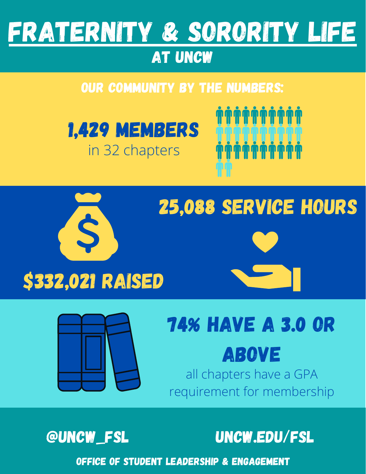

#### at UNCW

#### Our community by the numbers:









# 74% have a 3.0 or

#### Above

all chapters have a GPA requirement for membership



@UNCW\_FSL uncw.edu/fsl

Office of Student Leadership & Engagement